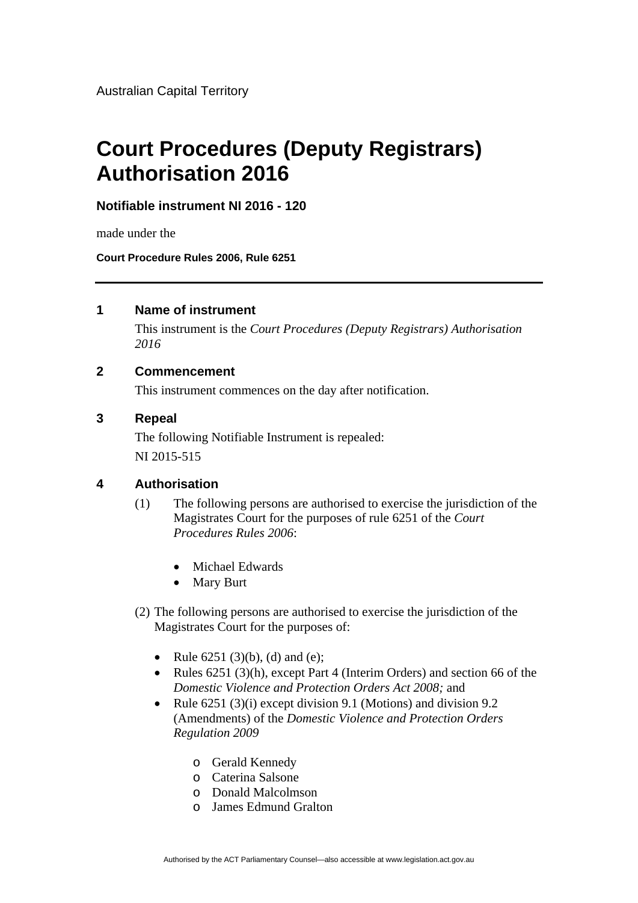Australian Capital Territory

# **Court Procedures (Deputy Registrars) Authorisation 2016**

**Notifiable instrument NI 2016 - 120**

made under the

**Court Procedure Rules 2006, Rule 6251**

#### **1 Name of instrument**

This instrument is the *Court Procedures (Deputy Registrars) Authorisation 2016* 

### **2 Commencement**

This instrument commences on the day after notification.

### **3 Repeal**

The following Notifiable Instrument is repealed: NI 2015-515

## **4 Authorisation**

- (1) The following persons are authorised to exercise the jurisdiction of the Magistrates Court for the purposes of rule 6251 of the *Court Procedures Rules 2006*:
	- Michael Edwards
	- Mary Burt
- (2) The following persons are authorised to exercise the jurisdiction of the Magistrates Court for the purposes of:
	- Rule  $6251 (3)(b)$ , (d) and (e);
	- Rules 6251 (3)(h), except Part 4 (Interim Orders) and section 66 of the *Domestic Violence and Protection Orders Act 2008;* and
	- Rule  $6251 (3)(i)$  except division 9.1 (Motions) and division 9.2 (Amendments) of the *Domestic Violence and Protection Orders Regulation 2009*
		- o Gerald Kennedy
		- o Caterina Salsone
		- o Donald Malcolmson
		- o James Edmund Gralton